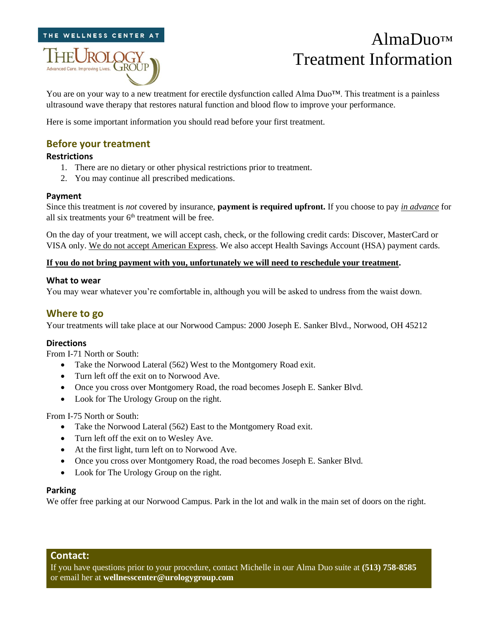

# AlmaDuo™ Treatment Information

You are on your way to a new treatment for erectile dysfunction called Alma Duo<sup>™</sup>. This treatment is a painless ultrasound wave therapy that restores natural function and blood flow to improve your performance.

Here is some important information you should read before your first treatment.

## **Before your treatment**

#### **Restrictions**

- 1. There are no dietary or other physical restrictions prior to treatment.
- 2. You may continue all prescribed medications.

#### **Payment**

Since this treatment is *not* covered by insurance, **payment is required upfront.** If you choose to pay *in advance* for all six treatments your  $6<sup>th</sup>$  treatment will be free.

On the day of your treatment, we will accept cash, check, or the following credit cards: Discover, MasterCard or VISA only. We do not accept American Express. We also accept Health Savings Account (HSA) payment cards.

#### **If you do not bring payment with you, unfortunately we will need to reschedule your treatment.**

#### **What to wear**

You may wear whatever you're comfortable in, although you will be asked to undress from the waist down.

## **Where to go**

Your treatments will take place at our Norwood Campus: 2000 Joseph E. Sanker Blvd., Norwood, OH 45212

#### **Directions**

From I-71 North or South:

- Take the Norwood Lateral (562) West to the Montgomery Road exit.
- Turn left off the exit on to Norwood Ave.
- Once you cross over Montgomery Road, the road becomes Joseph E. Sanker Blvd.
- Look for The Urology Group on the right.

From I-75 North or South:

- Take the Norwood Lateral (562) East to the Montgomery Road exit.
- Turn left off the exit on to Wesley Ave.
- At the first light, turn left on to Norwood Ave.
- Once you cross over Montgomery Road, the road becomes Joseph E. Sanker Blvd.
- Look for The Urology Group on the right.

#### **Parking**

We offer free parking at our Norwood Campus. Park in the lot and walk in the main set of doors on the right.

#### **Contact:**

If you have questions prior to your procedure, contact Michelle in our Alma Duo suite at **(513) 758-8585** or email her at **wellnesscenter@urologygroup.com**